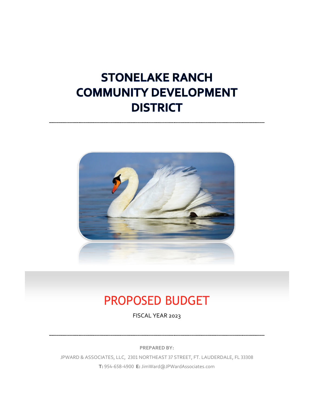# **STONELAKE RANCH COMMUNITY DEVELOPMENT DISTRICT**



# PROPOSED BUDGET

FISCAL YEAR 2023

**PREPARED BY:**

JPWARD & ASSOCIATES, LLC, 2301 NORTHEAST 37 STREET, FT. LAUDERDALE, FL 33308 **T:** 954-658-4900 **E:** JimWard@JPWardAssociates.com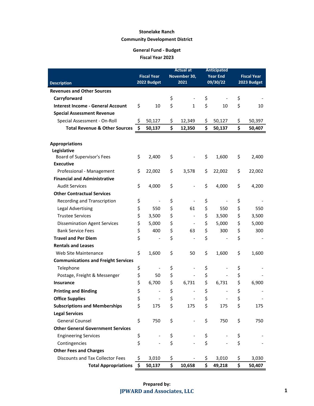|                                            |                                   |                              | <b>Actual at</b>     |                              | <b>Anticipated</b>          |                                   |        |
|--------------------------------------------|-----------------------------------|------------------------------|----------------------|------------------------------|-----------------------------|-----------------------------------|--------|
|                                            | <b>Fiscal Year</b><br>2022 Budget |                              | November 30,<br>2021 |                              | <b>Year End</b><br>09/30/22 | <b>Fiscal Year</b><br>2023 Budget |        |
| <b>Description</b>                         |                                   |                              |                      |                              |                             |                                   |        |
| <b>Revenues and Other Sources</b>          |                                   |                              |                      |                              |                             |                                   |        |
| Carryforward                               |                                   |                              | \$                   |                              | \$                          | \$                                |        |
| <b>Interest Income - General Account</b>   | \$                                | 10                           | \$                   | 1                            | \$<br>10                    | \$                                | 10     |
| <b>Special Assessment Revenue</b>          |                                   |                              |                      |                              |                             |                                   |        |
| Special Assessment - On-Roll               | \$                                | 50,127                       | \$                   | 12,349                       | \$<br>50,127                | \$                                | 50,397 |
| <b>Total Revenue &amp; Other Sources</b>   | \$                                | 50,137                       | \$                   | 12,350                       | \$<br>50,137                | \$                                | 50,407 |
|                                            |                                   |                              |                      |                              |                             |                                   |        |
| <b>Appropriations</b>                      |                                   |                              |                      |                              |                             |                                   |        |
| Legislative                                |                                   |                              |                      |                              |                             |                                   |        |
| Board of Supervisor's Fees                 | \$                                | 2,400                        | \$                   |                              | \$<br>1,600                 | \$                                | 2,400  |
| <b>Executive</b>                           |                                   |                              |                      |                              |                             |                                   |        |
| Professional - Management                  | \$                                | 22,002                       | \$                   | 3,578                        | \$<br>22,002                | \$                                | 22,002 |
| <b>Financial and Administrative</b>        |                                   |                              |                      |                              |                             |                                   |        |
| <b>Audit Services</b>                      | \$                                | 4,000                        | \$                   |                              | \$<br>4,000                 | \$                                | 4,200  |
| <b>Other Contractual Services</b>          |                                   |                              |                      |                              |                             |                                   |        |
| Recording and Transcription                | \$                                | $\qquad \qquad \blacksquare$ | \$                   |                              | \$                          | \$                                |        |
| <b>Legal Advertising</b>                   | \$                                | 550                          | \$                   | 61                           | \$<br>550                   | \$                                | 550    |
| <b>Trustee Services</b>                    | \$                                | 3,500                        | \$                   | $\overline{\phantom{a}}$     | \$<br>3,500                 | \$                                | 3,500  |
| <b>Dissemination Agent Services</b>        | \$                                | 5,000                        | \$                   |                              | \$<br>5,000                 | \$                                | 5,000  |
| <b>Bank Service Fees</b>                   | \$                                | 400                          | \$                   | 63                           | \$<br>300                   | \$                                | 300    |
| <b>Travel and Per Diem</b>                 | \$                                |                              | \$                   |                              | \$                          | \$                                |        |
| <b>Rentals and Leases</b>                  |                                   |                              |                      |                              |                             |                                   |        |
| Web Site Maintenance                       | \$                                | 1,600                        | \$                   | 50                           | \$<br>1,600                 | \$                                | 1,600  |
| <b>Communications and Freight Services</b> |                                   |                              |                      |                              |                             |                                   |        |
| Telephone                                  | \$                                | $\qquad \qquad \blacksquare$ | \$                   | $\qquad \qquad \blacksquare$ | \$                          | \$                                |        |
| Postage, Freight & Messenger               | \$                                | 50                           | \$                   |                              | \$                          | \$                                |        |
| <b>Insurance</b>                           | \$                                | 6,700                        | \$                   | 6,731                        | \$<br>6,731                 | \$                                | 6,900  |
| <b>Printing and Binding</b>                | \$                                | $\qquad \qquad \blacksquare$ | \$                   |                              | \$                          | \$                                |        |
| <b>Office Supplies</b>                     | \$                                |                              | \$                   |                              | \$                          | \$                                |        |
| <b>Subscriptions and Memberships</b>       | \$                                | 175                          | \$                   | 175                          | \$<br>175                   | \$                                | 175    |
| <b>Legal Services</b>                      |                                   |                              |                      |                              |                             |                                   |        |
| <b>General Counsel</b>                     | \$                                | 750                          | \$                   |                              | \$<br>750                   | \$                                | 750    |
| <b>Other General Government Services</b>   |                                   |                              |                      |                              |                             |                                   |        |
| <b>Engineering Services</b>                | \$                                |                              | \$                   |                              | \$                          | \$                                |        |
| Contingencies                              | \$                                |                              | \$                   |                              | \$                          | \$                                |        |
| <b>Other Fees and Charges</b>              |                                   |                              |                      |                              |                             |                                   |        |
| <b>Discounts and Tax Collector Fees</b>    | \$                                | 3,010                        | \$                   |                              | \$<br>3,010                 | \$                                | 3,030  |
| <b>Total Appropriations</b>                | \$                                | 50,137                       | \$                   | 10,658                       | \$<br>49,218                | \$                                | 50,407 |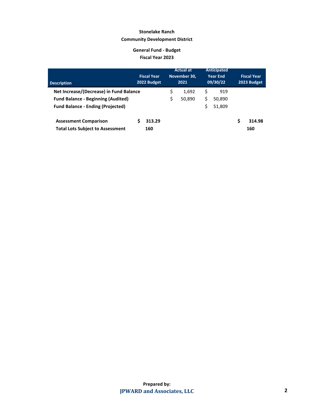| <b>Description</b>                        | <b>Fiscal Year</b><br>2022 Budget |    | <b>Actual at</b><br>November 30,<br>2021 |    | Anticipated<br><b>Year End</b><br>09/30/22 |   | <b>Fiscal Year</b><br>2023 Budget |
|-------------------------------------------|-----------------------------------|----|------------------------------------------|----|--------------------------------------------|---|-----------------------------------|
| Net Increase/(Decrease) in Fund Balance   |                                   | \$ | 1,692                                    | \$ | 919                                        |   |                                   |
| <b>Fund Balance - Beginning (Audited)</b> |                                   | \$ | 50,890                                   | \$ | 50,890                                     |   |                                   |
| <b>Fund Balance - Ending (Projected)</b>  |                                   |    |                                          | Ś  | 51,809                                     |   |                                   |
| <b>Assessment Comparison</b>              | 313.29                            |    |                                          |    |                                            | S | 314.98                            |
| <b>Total Lots Subject to Assessment</b>   | 160                               |    |                                          |    |                                            |   | 160                               |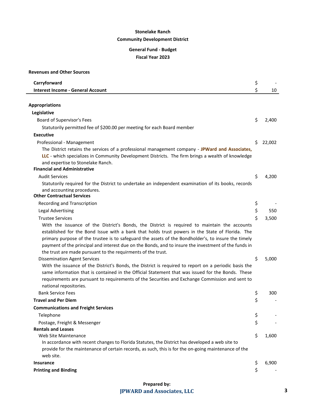| <b>Revenues and Other Sources</b>                                                                                                                                    |    |        |
|----------------------------------------------------------------------------------------------------------------------------------------------------------------------|----|--------|
| Carryforward                                                                                                                                                         | \$ |        |
| <b>Interest Income - General Account</b>                                                                                                                             | \$ | 10     |
|                                                                                                                                                                      |    |        |
| <b>Appropriations</b>                                                                                                                                                |    |        |
| Legislative                                                                                                                                                          |    |        |
| Board of Supervisor's Fees                                                                                                                                           | \$ | 2,400  |
| Statutorily permitted fee of \$200.00 per meeting for each Board member                                                                                              |    |        |
| <b>Executive</b>                                                                                                                                                     |    |        |
| Professional - Management                                                                                                                                            | \$ | 22,002 |
| The District retains the services of a professional management company - JPWard and Associates,                                                                      |    |        |
| LLC - which specializes in Community Development Districts. The firm brings a wealth of knowledge                                                                    |    |        |
| and expertise to Stonelake Ranch.                                                                                                                                    |    |        |
| <b>Financial and Administrative</b>                                                                                                                                  |    |        |
| <b>Audit Services</b>                                                                                                                                                | \$ | 4,200  |
| Statutorily required for the District to undertake an independent examination of its books, records                                                                  |    |        |
| and accounting procedures.                                                                                                                                           |    |        |
| <b>Other Contractual Services</b>                                                                                                                                    |    |        |
| Recording and Transcription                                                                                                                                          | \$ |        |
| <b>Legal Advertising</b>                                                                                                                                             | \$ | 550    |
| <b>Trustee Services</b>                                                                                                                                              | \$ | 3,500  |
| With the issuance of the District's Bonds, the District is required to maintain the accounts                                                                         |    |        |
| established for the Bond Issue with a bank that holds trust powers in the State of Florida. The                                                                      |    |        |
| primary purpose of the trustee is to safeguard the assets of the Bondholder's, to insure the timely                                                                  |    |        |
| payment of the principal and interest due on the Bonds, and to insure the investment of the funds in<br>the trust are made pursuant to the requirments of the trust. |    |        |
| <b>Dissemination Agent Services</b>                                                                                                                                  | \$ | 5,000  |
| With the issuance of the District's Bonds, the District is required to report on a periodic basis the                                                                |    |        |
| same information that is contained in the Official Statement that was issued for the Bonds. These                                                                    |    |        |
| requirements are pursuant to requirements of the Securities and Exchange Commission and sent to                                                                      |    |        |
| national repositories.                                                                                                                                               |    |        |
| <b>Bank Service Fees</b>                                                                                                                                             | Ş  | 300    |
| <b>Travel and Per Diem</b>                                                                                                                                           | Ş  |        |
| <b>Communications and Freight Services</b>                                                                                                                           |    |        |
| Telephone                                                                                                                                                            | \$ |        |
| Postage, Freight & Messenger                                                                                                                                         | \$ |        |
| <b>Rentals and Leases</b>                                                                                                                                            |    |        |
| Web Site Maintenance                                                                                                                                                 | \$ | 1,600  |
| In accordance with recent changes to Florida Statutes, the District has developed a web site to                                                                      |    |        |
| provide for the maintenance of certain records, as such, this is for the on-going maintenance of the                                                                 |    |        |
| web site.                                                                                                                                                            |    |        |
| <b>Insurance</b>                                                                                                                                                     | \$ | 6,900  |
| <b>Printing and Binding</b>                                                                                                                                          | \$ |        |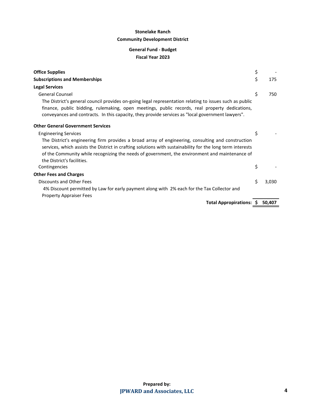| <b>Office Supplies</b>                                                                                                                                                                                           | \$ |        |
|------------------------------------------------------------------------------------------------------------------------------------------------------------------------------------------------------------------|----|--------|
| <b>Subscriptions and Memberships</b>                                                                                                                                                                             | \$ | 175    |
| <b>Legal Services</b>                                                                                                                                                                                            |    |        |
| <b>General Counsel</b>                                                                                                                                                                                           | \$ | 750    |
| The District's general council provides on-going legal representation relating to issues such as public                                                                                                          |    |        |
| finance, public bidding, rulemaking, open meetings, public records, real property dedications,<br>conveyances and contracts. In this capacity, they provide services as "local government lawyers".              |    |        |
| <b>Other General Government Services</b>                                                                                                                                                                         |    |        |
| <b>Engineering Services</b>                                                                                                                                                                                      | \$ |        |
| The District's engineering firm provides a broad array of engineering, consulting and construction<br>services, which assists the District in crafting solutions with sustainability for the long term interests |    |        |
| of the Community while recognizing the needs of government, the environment and maintenance of                                                                                                                   |    |        |
| the District's facilities.                                                                                                                                                                                       |    |        |
| Contingencies                                                                                                                                                                                                    | \$ |        |
| <b>Other Fees and Charges</b>                                                                                                                                                                                    |    |        |
| Discounts and Other Fees                                                                                                                                                                                         | Ś. | 3,030  |
| 4% Discount permitted by Law for early payment along with 2% each for the Tax Collector and                                                                                                                      |    |        |
| <b>Property Appraiser Fees</b>                                                                                                                                                                                   |    |        |
| Total Appropirations: \$                                                                                                                                                                                         |    | 50,407 |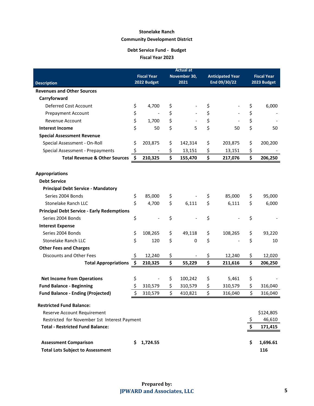### **Debt Service Fund - Budget Fiscal Year 2023**

|                                                   | <b>Actual at</b> |                    |    |              |    |                         |                    |             |  |
|---------------------------------------------------|------------------|--------------------|----|--------------|----|-------------------------|--------------------|-------------|--|
|                                                   |                  | <b>Fiscal Year</b> |    | November 30, |    | <b>Anticipated Year</b> | <b>Fiscal Year</b> |             |  |
| <b>Description</b>                                | 2022 Budget      |                    |    | 2021         |    | End 09/30/22            |                    | 2023 Budget |  |
| <b>Revenues and Other Sources</b>                 |                  |                    |    |              |    |                         |                    |             |  |
| Carryforward                                      |                  |                    |    |              |    |                         |                    |             |  |
| Deferred Cost Account                             | \$               | 4,700              | \$ |              | \$ |                         | \$                 | 6,000       |  |
| <b>Prepayment Account</b>                         | \$               |                    | \$ |              | \$ |                         | \$                 |             |  |
| Revenue Account                                   | \$               | 1,700              | \$ |              | \$ |                         | \$                 |             |  |
| <b>Interest Income</b>                            | \$               | 50                 | \$ | 5            | \$ | 50                      | \$                 | 50          |  |
| <b>Special Assessment Revenue</b>                 |                  |                    |    |              |    |                         |                    |             |  |
| Special Assessment - On-Roll                      | \$               | 203,875            | \$ | 142,314      | \$ | 203,875                 | \$                 | 200,200     |  |
| Special Assessment - Prepayments                  | \$               |                    | \$ | 13,151       | \$ | 13,151                  | \$                 |             |  |
| <b>Total Revenue &amp; Other Sources</b>          | \$               | 210,325            | \$ | 155,470      | \$ | 217,076                 | \$                 | 206,250     |  |
| <b>Appropriations</b>                             |                  |                    |    |              |    |                         |                    |             |  |
| <b>Debt Service</b>                               |                  |                    |    |              |    |                         |                    |             |  |
| <b>Principal Debt Service - Mandatory</b>         |                  |                    |    |              |    |                         |                    |             |  |
| Series 2004 Bonds                                 | \$               | 85,000             | \$ |              | \$ | 85,000                  | \$                 | 95,000      |  |
| Stonelake Ranch LLC                               | \$               | 4,700              | \$ | 6,111        | \$ | 6,111                   | \$                 | 6,000       |  |
| <b>Principal Debt Service - Early Redemptions</b> |                  |                    |    |              |    |                         |                    |             |  |
| Series 2004 Bonds                                 | \$               |                    | \$ |              | \$ |                         | \$                 |             |  |
| <b>Interest Expense</b>                           |                  |                    |    |              |    |                         |                    |             |  |
| Series 2004 Bonds                                 | \$               | 108,265            | \$ | 49,118       | \$ | 108,265                 | \$                 | 93,220      |  |
| Stonelake Ranch LLC                               | \$               | 120                | \$ | 0            | \$ |                         | \$                 | 10          |  |
| <b>Other Fees and Charges</b>                     |                  |                    |    |              |    |                         |                    |             |  |
| Discounts and Other Fees                          | \$               | 12,240             | \$ |              | \$ | 12,240                  | \$                 | 12,020      |  |
| <b>Total Appropriations</b>                       | \$               | 210,325            | \$ | 55,229       | \$ | 211,616                 | \$                 | 206,250     |  |
|                                                   |                  |                    |    |              |    |                         |                    |             |  |
| <b>Net Income from Operations</b>                 | \$               |                    | \$ | 100,242      | \$ | 5,461                   | \$                 |             |  |
| <b>Fund Balance - Beginning</b>                   | \$               | 310,579            | \$ | 310,579      | \$ | 310,579                 | \$                 | 316,040     |  |
| <b>Fund Balance - Ending (Projected)</b>          | \$               | 310,579            | \$ | 410,821      | \$ | 316,040                 | \$                 | 316,040     |  |
| <b>Restricted Fund Balance:</b>                   |                  |                    |    |              |    |                         |                    |             |  |
| Reserve Account Requirement                       |                  |                    |    |              |    |                         |                    | \$124,805   |  |
| Restricted for November 1st Interest Payment      |                  |                    |    |              |    |                         | \$                 | 46,610      |  |
| <b>Total - Restricted Fund Balance:</b>           |                  |                    |    |              |    |                         | \$                 | 171,415     |  |
|                                                   |                  |                    |    |              |    |                         |                    |             |  |
| <b>Assessment Comparison</b>                      | S.               | 1,724.55           |    |              |    |                         | \$.                | 1,696.61    |  |
| <b>Total Lots Subject to Assessment</b>           |                  |                    |    |              |    |                         |                    | 116         |  |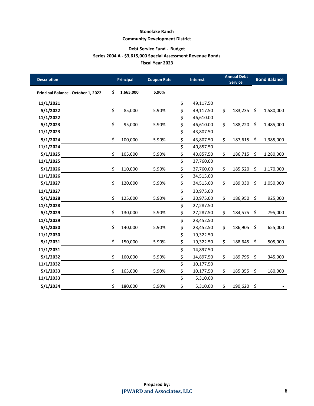#### **Debt Service Fund - Budget**

#### **Series 2004 A - \$3,615,000 Special Assessment Revenue Bonds**

**Fiscal Year 2023**

| <b>Description</b>                  | <b>Principal</b> | <b>Coupon Rate</b> | Interest                        |           | <b>Annual Debt</b><br><b>Service</b> | <b>Bond Balance</b> |           |
|-------------------------------------|------------------|--------------------|---------------------------------|-----------|--------------------------------------|---------------------|-----------|
| Principal Balance - October 1, 2022 | \$<br>1,665,000  | 5.90%              |                                 |           |                                      |                     |           |
| 11/1/2021                           |                  |                    | \$                              | 49,117.50 |                                      |                     |           |
| 5/1/2022                            | \$<br>85,000     | 5.90%              | \$                              | 49,117.50 | \$<br>183,235                        | \$                  | 1,580,000 |
| 11/1/2022                           |                  |                    | \$                              | 46,610.00 |                                      |                     |           |
| 5/1/2023                            | \$<br>95,000     | 5.90%              | \$                              | 46,610.00 | \$<br>188,220                        | \$                  | 1,485,000 |
| 11/1/2023                           |                  |                    | \$                              | 43,807.50 |                                      |                     |           |
| 5/1/2024                            | \$<br>100,000    | 5.90%              | \$                              | 43,807.50 | \$<br>187,615                        | \$                  | 1,385,000 |
| 11/1/2024                           |                  |                    | $\overline{\boldsymbol{\zeta}}$ | 40,857.50 |                                      |                     |           |
| 5/1/2025                            | \$<br>105,000    | 5.90%              | \$                              | 40,857.50 | \$<br>186,715                        | \$                  | 1,280,000 |
| 11/1/2025                           |                  |                    | \$                              | 37,760.00 |                                      |                     |           |
| 5/1/2026                            | \$<br>110,000    | 5.90%              | \$                              | 37,760.00 | \$<br>185,520                        | \$                  | 1,170,000 |
| 11/1/2026                           |                  |                    | \$                              | 34,515.00 |                                      |                     |           |
| 5/1/2027                            | \$<br>120,000    | 5.90%              | \$                              | 34,515.00 | \$<br>189,030                        | \$                  | 1,050,000 |
| 11/1/2027                           |                  |                    | \$                              | 30,975.00 |                                      |                     |           |
| 5/1/2028                            | \$<br>125,000    | 5.90%              | \$                              | 30,975.00 | \$<br>186,950                        | \$                  | 925,000   |
| 11/1/2028                           |                  |                    | \$                              | 27,287.50 |                                      |                     |           |
| 5/1/2029                            | \$<br>130,000    | 5.90%              | \$                              | 27,287.50 | \$<br>184,575                        | \$                  | 795,000   |
| 11/1/2029                           |                  |                    | \$                              | 23,452.50 |                                      |                     |           |
| 5/1/2030                            | \$<br>140,000    | 5.90%              | \$                              | 23,452.50 | \$<br>186,905                        | \$                  | 655,000   |
| 11/1/2030                           |                  |                    | \$                              | 19,322.50 |                                      |                     |           |
| 5/1/2031                            | \$<br>150,000    | 5.90%              | \$                              | 19,322.50 | \$<br>188,645                        | \$                  | 505,000   |
| 11/1/2031                           |                  |                    | \$                              | 14,897.50 |                                      |                     |           |
| 5/1/2032                            | \$<br>160,000    | 5.90%              | \$                              | 14,897.50 | \$<br>189,795                        | \$                  | 345,000   |
| 11/1/2032                           |                  |                    | \$                              | 10,177.50 |                                      |                     |           |
| 5/1/2033                            | \$<br>165,000    | 5.90%              | \$                              | 10,177.50 | \$<br>185,355                        | \$                  | 180,000   |
| 11/1/2033                           |                  |                    | \$                              | 5,310.00  |                                      |                     |           |
| 5/1/2034                            | \$<br>180,000    | 5.90%              | \$                              | 5,310.00  | \$<br>190,620                        | \$                  |           |